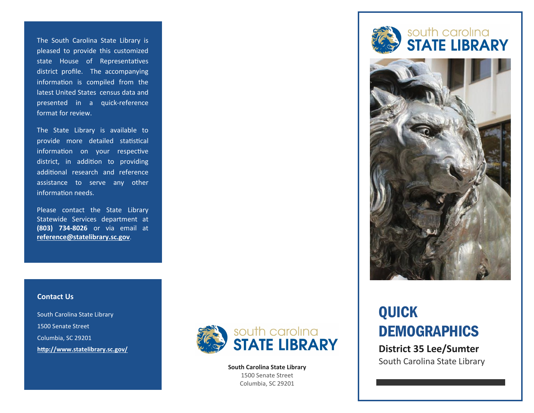The South Carolina State Library is pleased to provide this customized state House of Representatives district profile. The accompanying information is compiled from the latest United States census data and presented in a quick-reference format for review.

The State Library is available to provide more detailed statistical information on your respective district, in addition to providing additional research and reference assistance to serve any other information needs.

Please contact the State Library Statewide Services department at **(803) 734-8026** or via email at **[reference@statelibrary.sc.gov](mailto:reference@statelibrary.sc.gov)**.

### **Contact Us**

South Carolina State Library 1500 Senate Street Columbia, SC 29201 **<http://www.statelibrary.sc.gov/>**



**South Carolina State Library** 1500 Senate Street Columbia, SC 29201





# QUICK **DEMOGRAPHICS**

**District 35 Lee/Sumter** South Carolina State Library